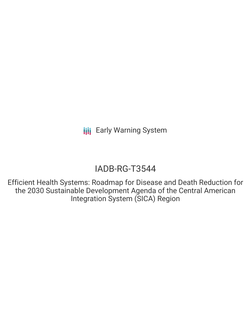## IADB-RG-T3544

Efficient Health Systems: Roadmap for Disease and Death Reduction for the 2030 Sustainable Development Agenda of the Central American Integration System (SICA) Region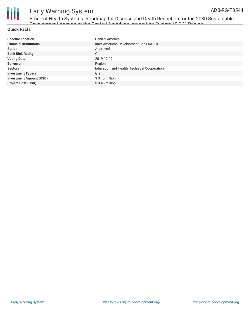

# Ш

### Early Warning System

Efficient Health Systems: Roadmap for Disease and Death Reduction for the 2030 Sustainable Development Agenda of the Central American Integration System (SICA) Region

#### **Quick Facts**

| <b>Specific Location</b>       | <b>Central America</b>                      |
|--------------------------------|---------------------------------------------|
| <b>Financial Institutions</b>  | Inter-American Development Bank (IADB)      |
| <b>Status</b>                  | Approved                                    |
| <b>Bank Risk Rating</b>        | C                                           |
| <b>Voting Date</b>             | 2019-12-09                                  |
| <b>Borrower</b>                | Region                                      |
| <b>Sectors</b>                 | Education and Health, Technical Cooperation |
| <b>Investment Type(s)</b>      | Grant                                       |
| <b>Investment Amount (USD)</b> | $$0.45$ million                             |
| <b>Project Cost (USD)</b>      | $$0.45$ million                             |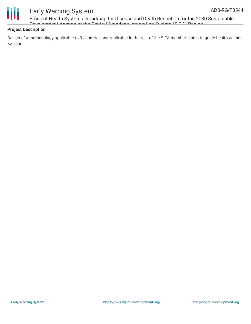

Efficient Health Systems: Roadmap for Disease and Death Reduction for the 2030 Sustainable Development Agenda of the Central American Integration System (SICA) Region

#### **Project Description**

Design of a methodology applicable to 3 countries and replicable in the rest of the SICA member states to guide health actions by 2030.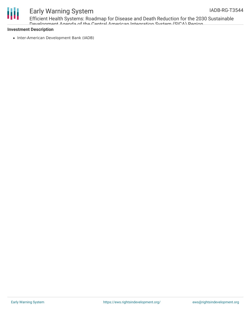

Efficient Health Systems: Roadmap for Disease and Death Reduction for the 2030 Sustainable Development Agenda of the Central American Integration System (SICA) Pegion

#### **Investment Description**

• Inter-American Development Bank (IADB)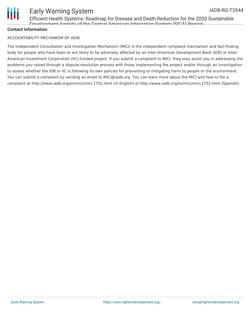

Efficient Health Systems: Roadmap for Disease and Death Reduction for the 2030 Sustainable Development Agenda of the Central American Integration System (SICA) Region

#### **Contact Information**

#### ACCOUNTABILITY MECHANISM OF IADB

The Independent Consultation and Investigation Mechanism (MICI) is the independent complaint mechanism and fact-finding body for people who have been or are likely to be adversely affected by an Inter-American Development Bank (IDB) or Inter-American Investment Corporation (IIC)-funded project. If you submit a complaint to MICI, they may assist you in addressing the problems you raised through a dispute-resolution process with those implementing the project and/or through an investigation to assess whether the IDB or IIC is following its own policies for preventing or mitigating harm to people or the environment. You can submit a complaint by sending an email to MICI@iadb.org. You can learn more about the MICI and how to file a complaint at http://www.iadb.org/en/mici/mici,1752.html (in English) or http://www.iadb.org/es/mici/mici,1752.html (Spanish).